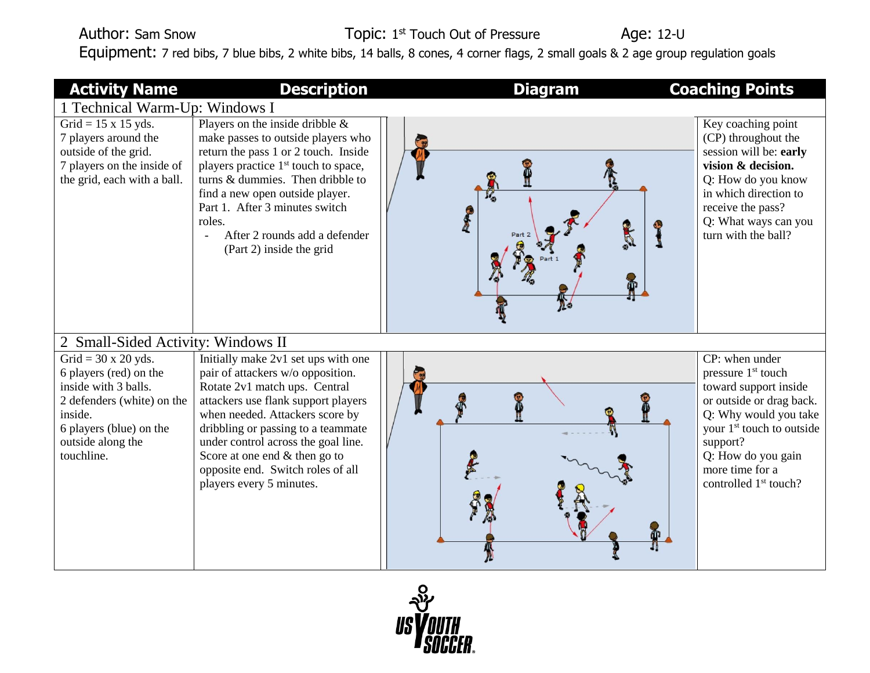## Author: Sam Snow Topic: 1st Touch Out of Pressure Age: 12-U Equipment: 7 red bibs, 7 blue bibs, 2 white bibs, 14 balls, 8 cones, 4 corner flags, 2 small goals & 2 age group regulation goals

| <b>Activity Name</b>                                                                                                                                                                | <b>Description</b>                                                                                                                                                                                                                                                                                                                                                   | <b>Diagram</b> | <b>Coaching Points</b>                                                                                                                                                                                                                                            |  |  |
|-------------------------------------------------------------------------------------------------------------------------------------------------------------------------------------|----------------------------------------------------------------------------------------------------------------------------------------------------------------------------------------------------------------------------------------------------------------------------------------------------------------------------------------------------------------------|----------------|-------------------------------------------------------------------------------------------------------------------------------------------------------------------------------------------------------------------------------------------------------------------|--|--|
| 1 Technical Warm-Up: Windows I                                                                                                                                                      |                                                                                                                                                                                                                                                                                                                                                                      |                |                                                                                                                                                                                                                                                                   |  |  |
| Grid = $15 \times 15$ yds.<br>7 players around the<br>outside of the grid.<br>7 players on the inside of<br>the grid, each with a ball.                                             | Players on the inside dribble $\&$<br>make passes to outside players who<br>return the pass 1 or 2 touch. Inside<br>players practice 1 <sup>st</sup> touch to space,<br>turns & dummies. Then dribble to<br>find a new open outside player.<br>Part 1. After 3 minutes switch<br>roles.<br>After 2 rounds add a defender<br>(Part 2) inside the grid                 |                | Key coaching point<br>(CP) throughout the<br>session will be: early<br>vision & decision.<br>Q: How do you know<br>in which direction to<br>receive the pass?<br>Q: What ways can you<br>turn with the ball?                                                      |  |  |
| 2 Small-Sided Activity: Windows II                                                                                                                                                  |                                                                                                                                                                                                                                                                                                                                                                      |                |                                                                                                                                                                                                                                                                   |  |  |
| Grid = $30 \times 20$ yds.<br>6 players (red) on the<br>inside with 3 balls.<br>2 defenders (white) on the<br>inside.<br>6 players (blue) on the<br>outside along the<br>touchline. | Initially make 2v1 set ups with one<br>pair of attackers w/o opposition.<br>Rotate 2v1 match ups. Central<br>attackers use flank support players<br>when needed. Attackers score by<br>dribbling or passing to a teammate<br>under control across the goal line.<br>Score at one end $&$ then go to<br>opposite end. Switch roles of all<br>players every 5 minutes. |                | CP: when under<br>pressure 1 <sup>st</sup> touch<br>toward support inside<br>or outside or drag back.<br>Q: Why would you take<br>your 1 <sup>st</sup> touch to outside<br>support?<br>Q: How do you gain<br>more time for a<br>controlled 1 <sup>st</sup> touch? |  |  |